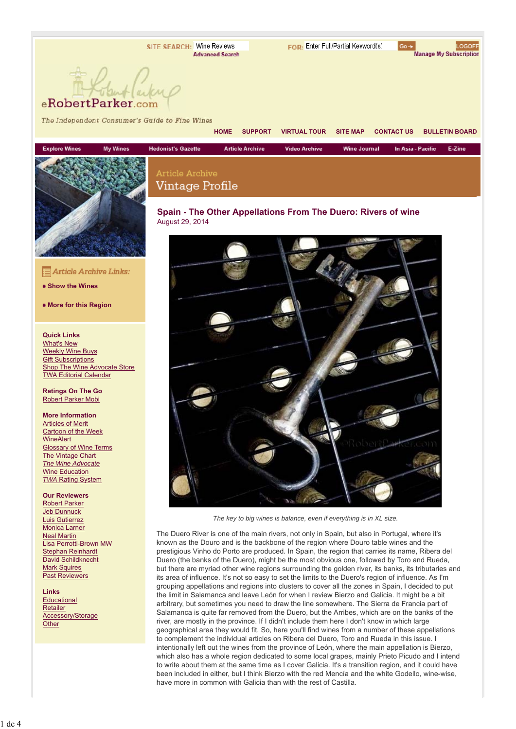Article Archive Vintage Profile FOR: Enter Full/Partial Keyword(s)

**HOME SUPPORT VIRTUAL TOUR SITE MAP CONTACT US BULLETIN BOARD**

**Wine Journal** 

LOGOFF Manage My Subscription

E-Zine

In Asia - Pacific

### eRobertParker.com

The Independent Consumer's Guide to Fine Wines



Article Archive Links:

**Show the Wines**

**More for this Region**

#### **Quick Links**

What's New Weekly Wine Buys **Gift Subscriptions** Shop The Wine Advocate Store TWA Editorial Calendar

**Ratings On The Go** Robert Parker Mobi

#### **More Information**

Articles of Merit Cartoon of the Week **WineAlert** Glossary of Wine Terms **The Vintage Chart** *The Wine Advocate* Wine Education *TWA* Rating System

#### **Our Reviewers**

Robert Parker Jeb Dunnuck Luis Gutierrez Monica Larner Neal Martin Lisa Perrotti-Brown MW Stephan Reinhardt David Schildknecht **Mark Squires** Past Reviewers

#### **Links**

**Educational** Retailer Accessory/Storage **Other** 



**Video Archive** 

**Article Archive** 



*The key to big wines is balance, even if everything is in XL size.*

The Duero River is one of the main rivers, not only in Spain, but also in Portugal, where it's known as the Douro and is the backbone of the region where Douro table wines and the prestigious Vinho do Porto are produced. In Spain, the region that carries its name, Ribera del Duero (the banks of the Duero), might be the most obvious one, followed by Toro and Rueda, but there are myriad other wine regions surrounding the golden river, its banks, its tributaries and its area of influence. It's not so easy to set the limits to the Duero's region of influence. As I'm grouping appellations and regions into clusters to cover all the zones in Spain, I decided to put the limit in Salamanca and leave León for when I review Bierzo and Galicia. It might be a bit arbitrary, but sometimes you need to draw the line somewhere. The Sierra de Francia part of Salamanca is quite far removed from the Duero, but the Arribes, which are on the banks of the river, are mostly in the province. If I didn't include them here I don't know in which large geographical area they would fit. So, here you'll find wines from a number of these appellations to complement the individual articles on Ribera del Duero, Toro and Rueda in this issue. I intentionally left out the wines from the province of León, where the main appellation is Bierzo, which also has a whole region dedicated to some local grapes, mainly Prieto Picudo and I intend to write about them at the same time as I cover Galicia. It's a transition region, and it could have been included in either, but I think Bierzo with the red Mencía and the white Godello, wine-wise, have more in common with Galicia than with the rest of Castilla.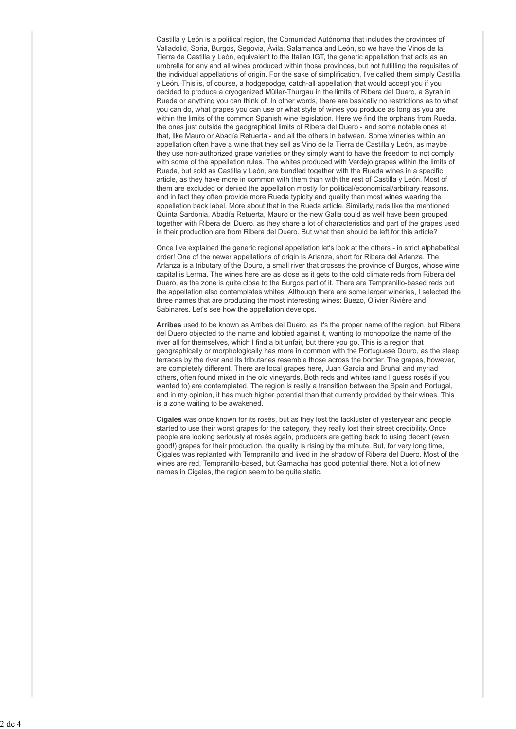Castilla y León is a political region, the Comunidad Autónoma that includes the provinces of Valladolid, Soria, Burgos, Segovia, Ávila, Salamanca and León, so we have the Vinos de la Tierra de Castilla y León, equivalent to the Italian IGT, the generic appellation that acts as an umbrella for any and all wines produced within those provinces, but not fulfilling the requisites of the individual appellations of origin. For the sake of simplification, I've called them simply Castilla y León. This is, of course, a hodgepodge, catch-all appellation that would accept you if you decided to produce a cryogenized Müller-Thurgau in the limits of Ribera del Duero, a Syrah in Rueda or anything you can think of. In other words, there are basically no restrictions as to what you can do, what grapes you can use or what style of wines you produce as long as you are within the limits of the common Spanish wine legislation. Here we find the orphans from Rueda, the ones just outside the geographical limits of Ribera del Duero - and some notable ones at that, like Mauro or Abadía Retuerta - and all the others in between. Some wineries within an appellation often have a wine that they sell as Vino de la Tierra de Castilla y León, as maybe they use non-authorized grape varieties or they simply want to have the freedom to not comply with some of the appellation rules. The whites produced with Verdejo grapes within the limits of Rueda, but sold as Castilla y León, are bundled together with the Rueda wines in a specific article, as they have more in common with them than with the rest of Castilla y León. Most of them are excluded or denied the appellation mostly for political/economical/arbitrary reasons, and in fact they often provide more Rueda typicity and quality than most wines wearing the appellation back label. More about that in the Rueda article. Similarly, reds like the mentioned Quinta Sardonia, Abadía Retuerta, Mauro or the new Galia could as well have been grouped together with Ribera del Duero, as they share a lot of characteristics and part of the grapes used in their production are from Ribera del Duero. But what then should be left for this article?

Once I've explained the generic regional appellation let's look at the others - in strict alphabetical order! One of the newer appellations of origin is Arlanza, short for Ribera del Arlanza. The Arlanza is a tributary of the Douro, a small river that crosses the province of Burgos, whose wine capital is Lerma. The wines here are as close as it gets to the cold climate reds from Ribera del Duero, as the zone is quite close to the Burgos part of it. There are Tempranillo-based reds but the appellation also contemplates whites. Although there are some larger wineries, I selected the three names that are producing the most interesting wines: Buezo, Olivier Rivière and Sabinares. Let's see how the appellation develops.

**Arribes** used to be known as Arribes del Duero, as it's the proper name of the region, but Ribera del Duero objected to the name and lobbied against it, wanting to monopolize the name of the river all for themselves, which I find a bit unfair, but there you go. This is a region that geographically or morphologically has more in common with the Portuguese Douro, as the steep terraces by the river and its tributaries resemble those across the border. The grapes, however, are completely different. There are local grapes here, Juan García and Bruñal and myriad others, often found mixed in the old vineyards. Both reds and whites (and I guess rosés if you wanted to) are contemplated. The region is really a transition between the Spain and Portugal, and in my opinion, it has much higher potential than that currently provided by their wines. This is a zone waiting to be awakened.

**Cigales** was once known for its rosés, but as they lost the lackluster of yesteryear and people started to use their worst grapes for the category, they really lost their street credibility. Once people are looking seriously at rosés again, producers are getting back to using decent (even good!) grapes for their production, the quality is rising by the minute. But, for very long time, Cigales was replanted with Tempranillo and lived in the shadow of Ribera del Duero. Most of the wines are red, Tempranillo-based, but Garnacha has good potential there. Not a lot of new names in Cigales, the region seem to be quite static.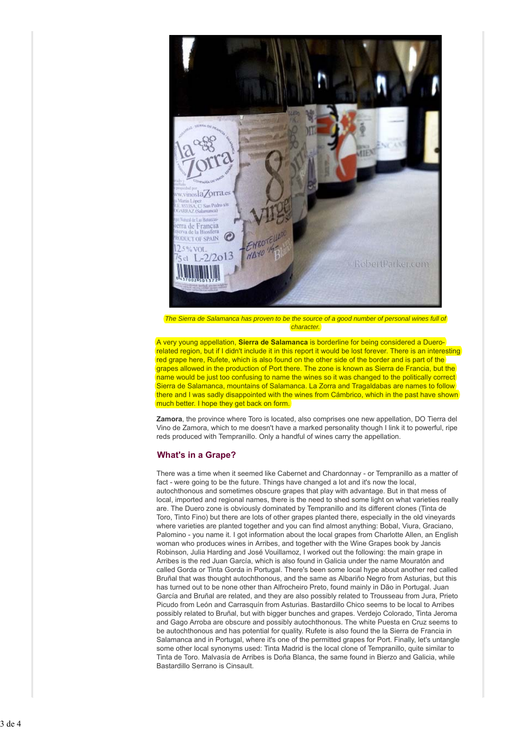

*The Sierra de Salamanca has proven to be the source of a good number of personal wines full of character.*

A very young appellation, **Sierra de Salamanca** is borderline for being considered a Duerorelated region, but if I didn't include it in this report it would be lost forever. There is an interesting red grape here, Rufete, which is also found on the other side of the border and is part of the grapes allowed in the production of Port there. The zone is known as Sierra de Francia, but the name would be just too confusing to name the wines so it was changed to the politically correct Sierra de Salamanca, mountains of Salamanca. La Zorra and Tragaldabas are names to follow there and I was sadly disappointed with the wines from Cámbrico, which in the past have shown much better. I hope they get back on form.

**Zamora**, the province where Toro is located, also comprises one new appellation, DO Tierra del Vino de Zamora, which to me doesn't have a marked personality though I link it to powerful, ripe reds produced with Tempranillo. Only a handful of wines carry the appellation.

#### **What's in a Grape?**

There was a time when it seemed like Cabernet and Chardonnay - or Tempranillo as a matter of fact - were going to be the future. Things have changed a lot and it's now the local, autochthonous and sometimes obscure grapes that play with advantage. But in that mess of local, imported and regional names, there is the need to shed some light on what varieties really are. The Duero zone is obviously dominated by Tempranillo and its different clones (Tinta de Toro, Tinto Fino) but there are lots of other grapes planted there, especially in the old vineyards where varieties are planted together and you can find almost anything: Bobal, Viura, Graciano, Palomino - you name it. I got information about the local grapes from Charlotte Allen, an English woman who produces wines in Arribes, and together with the Wine Grapes book by Jancis Robinson, Julia Harding and José Vouillamoz, I worked out the following: the main grape in Arribes is the red Juan García, which is also found in Galicia under the name Mouratón and called Gorda or Tinta Gorda in Portugal. There's been some local hype about another red called Bruñal that was thought autochthonous, and the same as Albariño Negro from Asturias, but this has turned out to be none other than Alfrocheiro Preto, found mainly in Dão in Portugal. Juan García and Bruñal are related, and they are also possibly related to Trousseau from Jura, Prieto Picudo from León and Carrasquín from Asturias. Bastardillo Chico seems to be local to Arribes possibly related to Bruñal, but with bigger bunches and grapes. Verdejo Colorado, Tinta Jeroma and Gago Arroba are obscure and possibly autochthonous. The white Puesta en Cruz seems to be autochthonous and has potential for quality. Rufete is also found the la Sierra de Francia in Salamanca and in Portugal, where it's one of the permitted grapes for Port. Finally, let's untangle some other local synonyms used: Tinta Madrid is the local clone of Tempranillo, quite similar to Tinta de Toro. Malvasía de Arribes is Doña Blanca, the same found in Bierzo and Galicia, while Bastardillo Serrano is Cinsault.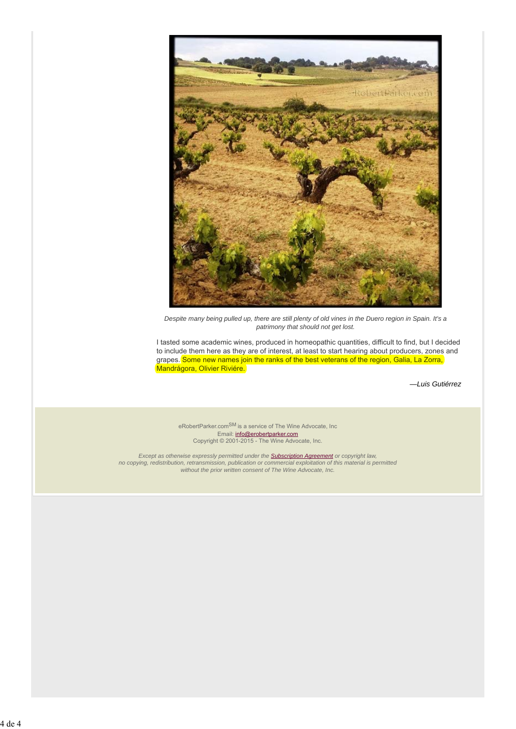

*Despite many being pulled up, there are still plenty of old vines in the Duero region in Spain. It's a patrimony that should not get lost.*

I tasted some academic wines, produced in homeopathic quantities, difficult to find, but I decided to include them here as they are of interest, at least to start hearing about producers, zones and grapes. Some new names join the ranks of the best veterans of the region, Galia, La Zorra, Mandrágora, Olivier Riviére.

*—Luis Gutiérrez*

eRobertParker.com<sup>SM</sup> is a service of The Wine Advocate, Inc Email: info@erobertparker.com Copyright © 2001-2015 - The Wine Advocate, Inc.

*Except as otherwise expressly permitted under the Subscription Agreement or copyright law,* no copying, redistribution, retransmission, publication or commercial exploitation of this material is permitted *without the prior written consent of The Wine Advocate, Inc.*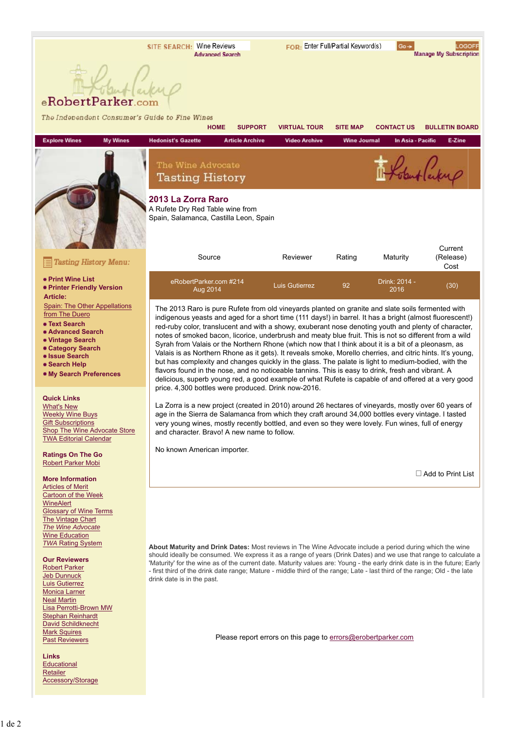

| The Independent Consumer's Guide to Fine Wines                                                                                                                                                                                                                                                                                                               | <b>HOME</b>                                                                                                                                                                                                                                                                                                                                                                                                                                                                                                                                                                                                                                                                                                                                                                                                                                                                                                                                                             | <b>SUPPORT</b>         | <b>VIRTUAL TOUR</b>   | <b>SITE MAP</b>     | <b>CONTACT US</b>     | <b>BULLETIN BOARD</b>    |  |
|--------------------------------------------------------------------------------------------------------------------------------------------------------------------------------------------------------------------------------------------------------------------------------------------------------------------------------------------------------------|-------------------------------------------------------------------------------------------------------------------------------------------------------------------------------------------------------------------------------------------------------------------------------------------------------------------------------------------------------------------------------------------------------------------------------------------------------------------------------------------------------------------------------------------------------------------------------------------------------------------------------------------------------------------------------------------------------------------------------------------------------------------------------------------------------------------------------------------------------------------------------------------------------------------------------------------------------------------------|------------------------|-----------------------|---------------------|-----------------------|--------------------------|--|
| <b>Explore Wines</b><br><b>My Wines</b>                                                                                                                                                                                                                                                                                                                      | <b>Hedonist's Gazette</b>                                                                                                                                                                                                                                                                                                                                                                                                                                                                                                                                                                                                                                                                                                                                                                                                                                                                                                                                               | <b>Article Archive</b> | <b>Video Archive</b>  | <b>Wine Journal</b> | In Asia - Pacific     | E-Zine                   |  |
|                                                                                                                                                                                                                                                                                                                                                              | The Wine Advocate<br><b>Tasting History</b>                                                                                                                                                                                                                                                                                                                                                                                                                                                                                                                                                                                                                                                                                                                                                                                                                                                                                                                             |                        |                       |                     |                       | but lackup               |  |
|                                                                                                                                                                                                                                                                                                                                                              | 2013 La Zorra Raro<br>A Rufete Dry Red Table wine from<br>Spain, Salamanca, Castilla Leon, Spain                                                                                                                                                                                                                                                                                                                                                                                                                                                                                                                                                                                                                                                                                                                                                                                                                                                                        |                        |                       |                     |                       | Current                  |  |
| <b>Tasting History Menu:</b>                                                                                                                                                                                                                                                                                                                                 | Source                                                                                                                                                                                                                                                                                                                                                                                                                                                                                                                                                                                                                                                                                                                                                                                                                                                                                                                                                                  |                        | Reviewer              | Rating              | Maturity              | (Release)<br>Cost        |  |
| • Print Wine List<br>• Printer Friendly Version<br><b>Article:</b>                                                                                                                                                                                                                                                                                           | eRobertParker.com #214<br>Aug 2014                                                                                                                                                                                                                                                                                                                                                                                                                                                                                                                                                                                                                                                                                                                                                                                                                                                                                                                                      |                        | <b>Luis Gutierrez</b> | 92                  | Drink: 2014 -<br>2016 | (30)                     |  |
| Spain: The Other Appellations<br>from The Duero<br>• Text Search<br>• Advanced Search<br>• Vintage Search<br>• Category Search<br>• Issue Search<br>• Search Help<br>. My Search Preferences                                                                                                                                                                 | The 2013 Raro is pure Rufete from old vineyards planted on granite and slate soils fermented with<br>indigenous yeasts and aged for a short time (111 days!) in barrel. It has a bright (almost fluorescent!)<br>red-ruby color, translucent and with a showy, exuberant nose denoting youth and plenty of character,<br>notes of smoked bacon, licorice, underbrush and meaty blue fruit. This is not so different from a wild<br>Syrah from Valais or the Northern Rhone (which now that I think about it is a bit of a pleonasm, as<br>Valais is as Northern Rhone as it gets). It reveals smoke, Morello cherries, and citric hints. It's young,<br>but has complexity and changes quickly in the glass. The palate is light to medium-bodied, with the<br>flavors found in the nose, and no noticeable tannins. This is easy to drink, fresh and vibrant. A<br>delicious, superb young red, a good example of what Rufete is capable of and offered at a very good |                        |                       |                     |                       |                          |  |
| <b>Quick Links</b><br><b>What's New</b><br><b>Weekly Wine Buys</b><br><b>Gift Subscriptions</b><br>Shop The Wine Advocate Store<br><b>TWA Editorial Calendar</b>                                                                                                                                                                                             | price. 4,300 bottles were produced. Drink now-2016.<br>La Zorra is a new project (created in 2010) around 26 hectares of vineyards, mostly over 60 years of<br>age in the Sierra de Salamanca from which they craft around 34,000 bottles every vintage. I tasted<br>very young wines, mostly recently bottled, and even so they were lovely. Fun wines, full of energy<br>and character. Bravo! A new name to follow.                                                                                                                                                                                                                                                                                                                                                                                                                                                                                                                                                  |                        |                       |                     |                       |                          |  |
| <b>Ratings On The Go</b><br><b>Robert Parker Mobi</b>                                                                                                                                                                                                                                                                                                        | No known American importer.                                                                                                                                                                                                                                                                                                                                                                                                                                                                                                                                                                                                                                                                                                                                                                                                                                                                                                                                             |                        |                       |                     |                       |                          |  |
| <b>More Information</b><br><b>Articles of Merit</b>                                                                                                                                                                                                                                                                                                          |                                                                                                                                                                                                                                                                                                                                                                                                                                                                                                                                                                                                                                                                                                                                                                                                                                                                                                                                                                         |                        |                       |                     |                       | $\Box$ Add to Print List |  |
| Cartoon of the Week<br>WineAlert<br><b>Glossary of Wine Terms</b><br>The Vintage Chart<br>The Wine Advocate<br><b>Wine Education</b><br><b>TWA Rating System</b><br><b>Our Reviewers</b><br><b>Robert Parker</b><br><b>Jeb Dunnuck</b><br><b>Luis Gutierrez</b><br>Monica Larner<br><b>Neal Martin</b><br>Lisa Perrotti-Brown MW<br><b>Stephan Reinhardt</b> | About Maturity and Drink Dates: Most reviews in The Wine Advocate include a period during which the wine<br>should ideally be consumed. We express it as a range of years (Drink Dates) and we use that range to calculate a<br>'Maturity' for the wine as of the current date. Maturity values are: Young - the early drink date is in the future; Early<br>- first third of the drink date range; Mature - middle third of the range; Late - last third of the range; Old - the late<br>drink date is in the past.                                                                                                                                                                                                                                                                                                                                                                                                                                                    |                        |                       |                     |                       |                          |  |
| <b>David Schildknecht</b><br><b>Mark Squires</b>                                                                                                                                                                                                                                                                                                             |                                                                                                                                                                                                                                                                                                                                                                                                                                                                                                                                                                                                                                                                                                                                                                                                                                                                                                                                                                         |                        |                       |                     |                       |                          |  |

**Past Reviewers** 

**Links Educational Retailer** Accessory/Storage Please report errors on this page to errors@erobertparker.com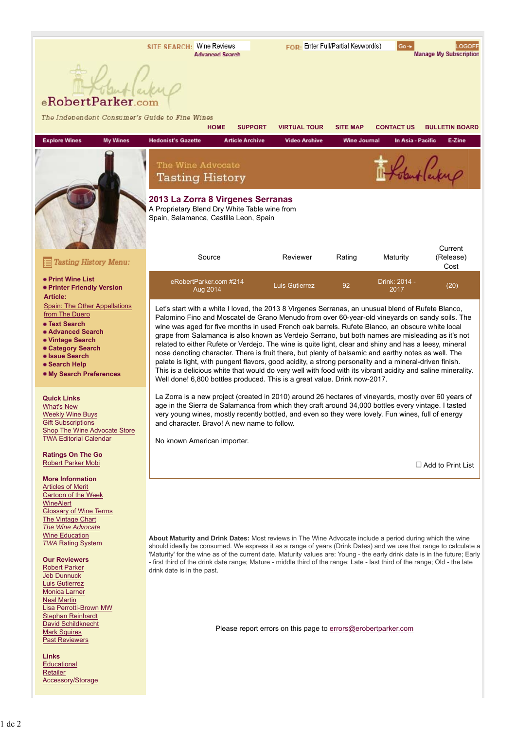# eRobertParker.com

| The Independent Consumer's Guide to Fine Wines                                                                                                                                                                                                                                                                                                                                                                                                                                                                                                                          | <b>HOME</b>                                                                                                                                                                                                                                                                                                                                                                                                                                                                                                                                                                                                                                                                                                                                                                                                                                                                                                                        | <b>SUPPORT</b>         | <b>VIRTUAL TOUR</b>                                           | <b>SITE MAP</b>     | <b>CONTACT US</b>     | <b>BULLETIN BOARD</b>    |  |
|-------------------------------------------------------------------------------------------------------------------------------------------------------------------------------------------------------------------------------------------------------------------------------------------------------------------------------------------------------------------------------------------------------------------------------------------------------------------------------------------------------------------------------------------------------------------------|------------------------------------------------------------------------------------------------------------------------------------------------------------------------------------------------------------------------------------------------------------------------------------------------------------------------------------------------------------------------------------------------------------------------------------------------------------------------------------------------------------------------------------------------------------------------------------------------------------------------------------------------------------------------------------------------------------------------------------------------------------------------------------------------------------------------------------------------------------------------------------------------------------------------------------|------------------------|---------------------------------------------------------------|---------------------|-----------------------|--------------------------|--|
| <b>Explore Wines</b><br><b>My Wines</b>                                                                                                                                                                                                                                                                                                                                                                                                                                                                                                                                 | <b>Hedonist's Gazette</b>                                                                                                                                                                                                                                                                                                                                                                                                                                                                                                                                                                                                                                                                                                                                                                                                                                                                                                          | <b>Article Archive</b> | <b>Video Archive</b>                                          | <b>Wine Journal</b> | In Asia - Pacific     | E-Zine                   |  |
|                                                                                                                                                                                                                                                                                                                                                                                                                                                                                                                                                                         | The Wine Advocate<br><b>Tasting History</b>                                                                                                                                                                                                                                                                                                                                                                                                                                                                                                                                                                                                                                                                                                                                                                                                                                                                                        |                        |                                                               |                     |                       | Populating               |  |
|                                                                                                                                                                                                                                                                                                                                                                                                                                                                                                                                                                         | 2013 La Zorra 8 Virgenes Serranas<br>A Proprietary Blend Dry White Table wine from<br>Spain, Salamanca, Castilla Leon, Spain                                                                                                                                                                                                                                                                                                                                                                                                                                                                                                                                                                                                                                                                                                                                                                                                       |                        |                                                               |                     |                       | Current                  |  |
| <b>Tasting History Menu:</b>                                                                                                                                                                                                                                                                                                                                                                                                                                                                                                                                            | Source                                                                                                                                                                                                                                                                                                                                                                                                                                                                                                                                                                                                                                                                                                                                                                                                                                                                                                                             |                        | Reviewer                                                      | Rating              | Maturity              | (Release)<br>Cost        |  |
| • Print Wine List<br>• Printer Friendly Version<br><b>Article:</b>                                                                                                                                                                                                                                                                                                                                                                                                                                                                                                      | eRobertParker.com #214<br>Aug 2014                                                                                                                                                                                                                                                                                                                                                                                                                                                                                                                                                                                                                                                                                                                                                                                                                                                                                                 |                        | Luis Gutierrez                                                | 92                  | Drink: 2014 -<br>2017 | (20)                     |  |
| Spain: The Other Appellations<br>from The Duero<br>• Text Search<br>• Advanced Search<br>• Vintage Search<br>• Category Search<br>• Issue Search<br>• Search Help<br>. My Search Preferences                                                                                                                                                                                                                                                                                                                                                                            | Let's start with a white I loved, the 2013 8 Virgenes Serranas, an unusual blend of Rufete Blanco,<br>Palomino Fino and Moscatel de Grano Menudo from over 60-year-old vineyards on sandy soils. The<br>wine was aged for five months in used French oak barrels. Rufete Blanco, an obscure white local<br>grape from Salamanca is also known as Verdejo Serrano, but both names are misleading as it's not<br>related to either Rufete or Verdejo. The wine is quite light, clear and shiny and has a leesy, mineral<br>nose denoting character. There is fruit there, but plenty of balsamic and earthy notes as well. The<br>palate is light, with pungent flavors, good acidity, a strong personality and a mineral-driven finish.<br>This is a delicious white that would do very well with food with its vibrant acidity and saline minerality.<br>Well done! 6,800 bottles produced. This is a great value. Drink now-2017. |                        |                                                               |                     |                       |                          |  |
| <b>Quick Links</b><br><b>What's New</b><br><b>Weekly Wine Buys</b><br><b>Gift Subscriptions</b><br>Shop The Wine Advocate Store<br><b>TWA Editorial Calendar</b>                                                                                                                                                                                                                                                                                                                                                                                                        | La Zorra is a new project (created in 2010) around 26 hectares of vineyards, mostly over 60 years of<br>age in the Sierra de Salamanca from which they craft around 34,000 bottles every vintage. I tasted<br>very young wines, mostly recently bottled, and even so they were lovely. Fun wines, full of energy<br>and character. Bravo! A new name to follow.<br>No known American importer.                                                                                                                                                                                                                                                                                                                                                                                                                                                                                                                                     |                        |                                                               |                     |                       |                          |  |
| <b>Ratings On The Go</b><br><b>Robert Parker Mobi</b>                                                                                                                                                                                                                                                                                                                                                                                                                                                                                                                   |                                                                                                                                                                                                                                                                                                                                                                                                                                                                                                                                                                                                                                                                                                                                                                                                                                                                                                                                    |                        |                                                               |                     |                       | $\Box$ Add to Print List |  |
| <b>More Information</b><br><b>Articles of Merit</b><br>Cartoon of the Week<br>WineAlert<br><b>Glossary of Wine Terms</b><br>The Vintage Chart<br><b>The Wine Advocate</b><br><b>Wine Education</b><br><b>TWA Rating System</b><br><b>Our Reviewers</b><br><b>Robert Parker</b><br><b>Jeb Dunnuck</b><br><b>Luis Gutierrez</b><br><b>Monica Larner</b><br><b>Neal Martin</b><br>Lisa Perrotti-Brown MW<br><b>Stephan Reinhardt</b><br><b>David Schildknecht</b><br><b>Mark Squires</b><br><b>Past Reviewers</b><br>Links<br>Educational<br>Retailer<br>Accessory/Storage | About Maturity and Drink Dates: Most reviews in The Wine Advocate include a period during which the wine<br>should ideally be consumed. We express it as a range of years (Drink Dates) and we use that range to calculate a<br>'Maturity' for the wine as of the current date. Maturity values are: Young - the early drink date is in the future; Early<br>- first third of the drink date range; Mature - middle third of the range; Late - last third of the range; Old - the late<br>drink date is in the past.                                                                                                                                                                                                                                                                                                                                                                                                               |                        | Please report errors on this page to errors@erobertparker.com |                     |                       |                          |  |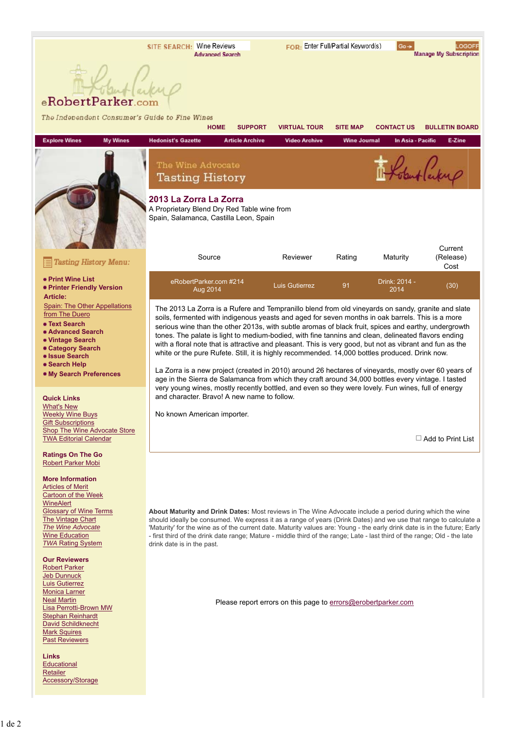### int (arkup eRobertParker.com

| The Independent Consumer's Guide to Fine Wines                                                                                                                                                                                                                                   | <b>HOME</b>                                                                                                                                                                                                                                                                                                                                                                                                                                                                                                                                                                                                                                                                                                                                                                                                                                       | <b>SUPPORT</b>         | <b>VIRTUAL TOUR</b>                                           | <b>SITE MAP</b>     | <b>CONTACT US</b>     | <b>BULLETIN BOARD</b>    |  |  |
|----------------------------------------------------------------------------------------------------------------------------------------------------------------------------------------------------------------------------------------------------------------------------------|---------------------------------------------------------------------------------------------------------------------------------------------------------------------------------------------------------------------------------------------------------------------------------------------------------------------------------------------------------------------------------------------------------------------------------------------------------------------------------------------------------------------------------------------------------------------------------------------------------------------------------------------------------------------------------------------------------------------------------------------------------------------------------------------------------------------------------------------------|------------------------|---------------------------------------------------------------|---------------------|-----------------------|--------------------------|--|--|
| <b>Explore Wines</b><br><b>My Wines</b>                                                                                                                                                                                                                                          | <b>Hedonist's Gazette</b>                                                                                                                                                                                                                                                                                                                                                                                                                                                                                                                                                                                                                                                                                                                                                                                                                         | <b>Article Archive</b> | <b>Video Archive</b>                                          | <b>Wine Journal</b> | In Asia - Pacific     | E-Zine                   |  |  |
|                                                                                                                                                                                                                                                                                  | The Wine Advocate<br><b>Tasting History</b>                                                                                                                                                                                                                                                                                                                                                                                                                                                                                                                                                                                                                                                                                                                                                                                                       |                        |                                                               |                     |                       | Robert Carpen            |  |  |
|                                                                                                                                                                                                                                                                                  | 2013 La Zorra La Zorra<br>A Proprietary Blend Dry Red Table wine from<br>Spain, Salamanca, Castilla Leon, Spain                                                                                                                                                                                                                                                                                                                                                                                                                                                                                                                                                                                                                                                                                                                                   |                        |                                                               |                     |                       | Current                  |  |  |
| <b>Tasting History Menu:</b>                                                                                                                                                                                                                                                     | Source                                                                                                                                                                                                                                                                                                                                                                                                                                                                                                                                                                                                                                                                                                                                                                                                                                            |                        | Reviewer                                                      | Rating              | Maturity              | (Release)<br>Cost        |  |  |
| • Print Wine List<br>• Printer Friendly Version<br><b>Article:</b>                                                                                                                                                                                                               | eRobertParker.com #214<br>Aug 2014                                                                                                                                                                                                                                                                                                                                                                                                                                                                                                                                                                                                                                                                                                                                                                                                                |                        | <b>Luis Gutierrez</b>                                         | 91                  | Drink: 2014 -<br>2014 | (30)                     |  |  |
| Spain: The Other Appellations<br>from The Duero<br>• Text Search<br>• Advanced Search<br>• Vintage Search<br>• Category Search<br>• Issue Search<br>• Search Help<br>. My Search Preferences                                                                                     | The 2013 La Zorra is a Rufere and Tempranillo blend from old vineyards on sandy, granite and slate<br>soils, fermented with indigenous yeasts and aged for seven months in oak barrels. This is a more<br>serious wine than the other 2013s, with subtle aromas of black fruit, spices and earthy, undergrowth<br>tones. The palate is light to medium-bodied, with fine tannins and clean, delineated flavors ending<br>with a floral note that is attractive and pleasant. This is very good, but not as vibrant and fun as the<br>white or the pure Rufete. Still, it is highly recommended. 14,000 bottles produced. Drink now.<br>La Zorra is a new project (created in 2010) around 26 hectares of vineyards, mostly over 60 years of<br>age in the Sierra de Salamanca from which they craft around 34,000 bottles every vintage. I tasted |                        |                                                               |                     |                       |                          |  |  |
| <b>Quick Links</b><br><b>What's New</b><br><b>Weekly Wine Buys</b><br><b>Gift Subscriptions</b><br>Shop The Wine Advocate Store<br><b>TWA Editorial Calendar</b>                                                                                                                 | very young wines, mostly recently bottled, and even so they were lovely. Fun wines, full of energy<br>and character. Bravo! A new name to follow.<br>No known American importer.                                                                                                                                                                                                                                                                                                                                                                                                                                                                                                                                                                                                                                                                  |                        |                                                               |                     |                       | $\Box$ Add to Print List |  |  |
| <b>Ratings On The Go</b><br><b>Robert Parker Mobi</b><br><b>More Information</b><br><b>Articles of Merit</b><br>Cartoon of the Week<br>WineAlert<br><b>Glossary of Wine Terms</b><br>The Vintage Chart<br>The Wine Advocate<br><b>Wine Education</b><br><b>TWA Rating System</b> | About Maturity and Drink Dates: Most reviews in The Wine Advocate include a period during which the wine<br>should ideally be consumed. We express it as a range of years (Drink Dates) and we use that range to calculate a<br>'Maturity' for the wine as of the current date. Maturity values are: Young - the early drink date is in the future; Early<br>- first third of the drink date range; Mature - middle third of the range; Late - last third of the range; Old - the late<br>drink date is in the past.                                                                                                                                                                                                                                                                                                                              |                        |                                                               |                     |                       |                          |  |  |
| <b>Our Reviewers</b><br><b>Robert Parker</b><br>Jeb Dunnuck<br><b>Luis Gutierrez</b><br>Monica Larner<br><b>Neal Martin</b><br>Lisa Perrotti-Brown MW<br><b>Stephan Reinhardt</b><br><b>David Schildknecht</b>                                                                   |                                                                                                                                                                                                                                                                                                                                                                                                                                                                                                                                                                                                                                                                                                                                                                                                                                                   |                        | Please report errors on this page to errors@erobertparker.com |                     |                       |                          |  |  |

Mark Squires<br>Past Reviewers

Links Educational<br>Retailer Accessory/Storage